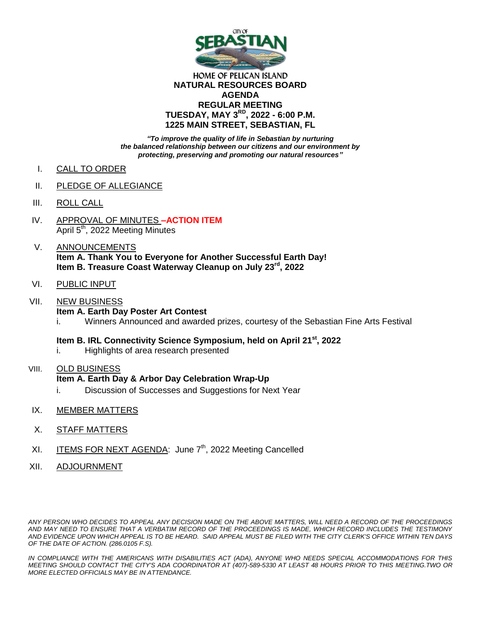

### **HOME OF PELICAN ISLAND NATURAL RESOURCES BOARD AGENDA REGULAR MEETING TUESDAY, MAY 3RD, 2022 - 6:00 P.M. 1225 MAIN STREET, SEBASTIAN, FL**

*"To improve the quality of life in Sebastian by nurturing the balanced relationship between our citizens and our environment by protecting, preserving and promoting our natural resources"*

- I. CALL TO ORDER
- II. PLEDGE OF ALLEGIANCE
- III. ROLL CALL
- IV. APPROVAL OF MINUTES **–ACTION ITEM** April 5<sup>th</sup>, 2022 Meeting Minutes
- V. ANNOUNCEMENTS **Item A. Thank You to Everyone for Another Successful Earth Day! Item B. Treasure Coast Waterway Cleanup on July 23rd, 2022**
- VI. PUBLIC INPUT
- VII. NEW BUSINESS **Item A. Earth Day Poster Art Contest**  i. Winners Announced and awarded prizes, courtesy of the Sebastian Fine Arts Festival
	- **Item B. IRL Connectivity Science Symposium, held on April 21st, 2022**
	- i. Highlights of area research presented
- VIII. OLD BUSINESS **Item A. Earth Day & Arbor Day Celebration Wrap-Up** i. Discussion of Successes and Suggestions for Next Year
- IX. MEMBER MATTERS
- X. STAFF MATTERS
- XI. ITEMS FOR NEXT AGENDA: June 7<sup>th</sup>, 2022 Meeting Cancelled
- XII. ADJOURNMENT

*ANY PERSON WHO DECIDES TO APPEAL ANY DECISION MADE ON THE ABOVE MATTERS, WILL NEED A RECORD OF THE PROCEEDINGS AND MAY NEED TO ENSURE THAT A VERBATIM RECORD OF THE PROCEEDINGS IS MADE, WHICH RECORD INCLUDES THE TESTIMONY AND EVIDENCE UPON WHICH APPEAL IS TO BE HEARD. SAID APPEAL MUST BE FILED WITH THE CITY CLERK'S OFFICE WITHIN TEN DAYS OF THE DATE OF ACTION. (286.0105 F.S).*

*IN COMPLIANCE WITH THE AMERICANS WITH DISABILITIES ACT (ADA), ANYONE WHO NEEDS SPECIAL ACCOMMODATIONS FOR THIS MEETING SHOULD CONTACT THE CITY'S ADA COORDINATOR AT (407)-589-5330 AT LEAST 48 HOURS PRIOR TO THIS MEETING.TWO OR MORE ELECTED OFFICIALS MAY BE IN ATTENDANCE.*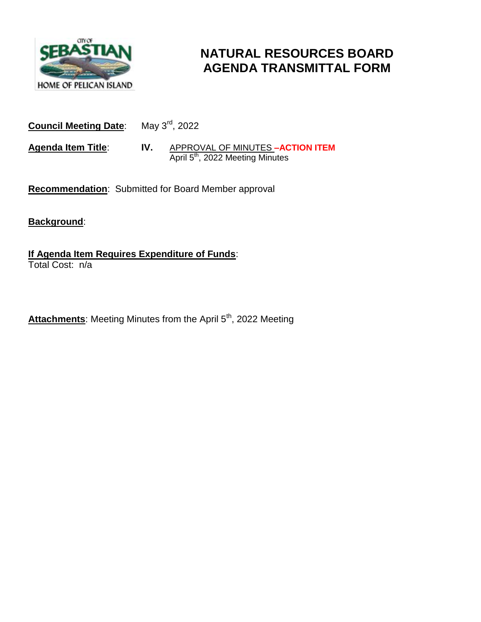

# **NATURAL RESOURCES BOARD AGENDA TRANSMITTAL FORM**

**Council Meeting Date**: May 3rd, 2022

**Agenda Item Title**: **IV.** APPROVAL OF MINUTES **–ACTION ITEM April 5<sup>th</sup>**, 2022 Meeting Minutes

**Recommendation**: Submitted for Board Member approval

**Background**:

**If Agenda Item Requires Expenditure of Funds**: Total Cost: n/a

Attachments: Meeting Minutes from the April 5<sup>th</sup>, 2022 Meeting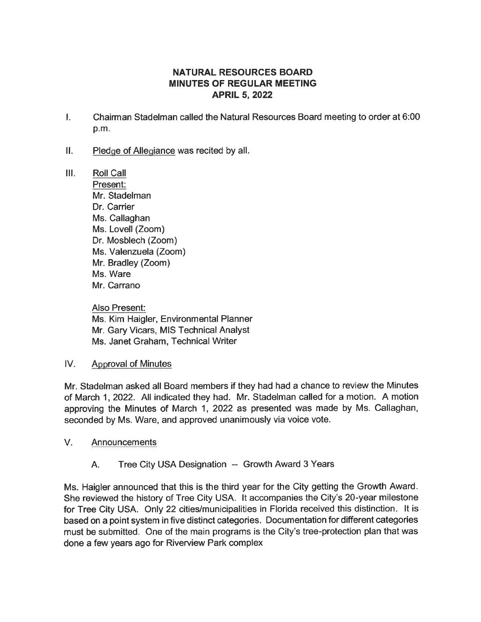## **NATURAL RESOURCES BOARD MINUTES OF REGULAR MEETING APRIL 5, 2022**

- L. Chairman Stadelman called the Natural Resources Board meeting to order at 6:00 p.m.
- $II.$ Pledge of Allegiance was recited by all.
- $III.$ **Roll Call** Present: Mr. Stadelman Dr. Carrier Ms. Callaghan Ms. Lovell (Zoom) Dr. Mosblech (Zoom) Ms. Valenzuela (Zoom) Mr. Bradley (Zoom) Ms. Ware Mr. Carrano

Also Present: Ms. Kim Haigler, Environmental Planner Mr. Gary Vicars, MIS Technical Analyst Ms. Janet Graham, Technical Writer

#### $IV.$ **Approval of Minutes**

Mr. Stadelman asked all Board members if they had had a chance to review the Minutes of March 1, 2022. All indicated they had. Mr. Stadelman called for a motion. A motion approving the Minutes of March 1, 2022 as presented was made by Ms. Callaghan, seconded by Ms. Ware, and approved unanimously via voice vote.

 $V_{\cdot}$ Announcements

> Tree City USA Designation -- Growth Award 3 Years A.

Ms. Haigler announced that this is the third year for the City getting the Growth Award. She reviewed the history of Tree City USA. It accompanies the City's 20-year milestone for Tree City USA. Only 22 cities/municipalities in Florida received this distinction. It is based on a point system in five distinct categories. Documentation for different categories must be submitted. One of the main programs is the City's tree-protection plan that was done a few years ago for Riverview Park complex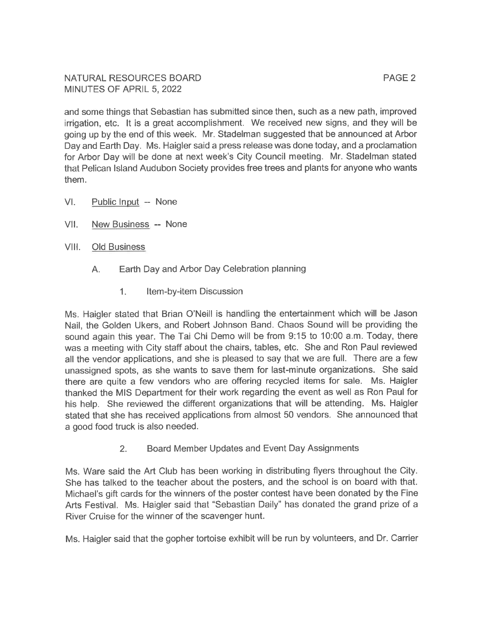NATURAL RESOURCES BOARD MINUTES OF APRIL 5, 2022

and some things that Sebastian has submitted since then, such as a new path, improved irrigation, etc. It is a great accomplishment. We received new signs, and they will be going up by the end of this week. Mr. Stadelman suggested that be announced at Arbor Day and Earth Day. Ms. Haigler said a press release was done today, and a proclamation for Arbor Day will be done at next week's City Council meeting. Mr. Stadelman stated that Pelican Island Audubon Society provides free trees and plants for anyone who wants them.

- $VI.$ Public Input -- None
- VII. New Business -- None
- VIII. **Old Business** 
	- Earth Day and Arbor Day Celebration planning  $A_{\cdot}$ 
		- $1.$ Item-by-item Discussion

Ms. Haigler stated that Brian O'Neill is handling the entertainment which will be Jason Nail, the Golden Ukers, and Robert Johnson Band. Chaos Sound will be providing the sound again this year. The Tai Chi Demo will be from 9:15 to 10:00 a.m. Today, there was a meeting with City staff about the chairs, tables, etc. She and Ron Paul reviewed all the vendor applications, and she is pleased to say that we are full. There are a few unassigned spots, as she wants to save them for last-minute organizations. She said there are quite a few vendors who are offering recycled items for sale. Ms. Haigler thanked the MIS Department for their work regarding the event as well as Ron Paul for his help. She reviewed the different organizations that will be attending. Ms. Haigler stated that she has received applications from almost 50 vendors. She announced that a good food truck is also needed.

> $2.$ Board Member Updates and Event Day Assignments

Ms. Ware said the Art Club has been working in distributing flyers throughout the City. She has talked to the teacher about the posters, and the school is on board with that. Michael's gift cards for the winners of the poster contest have been donated by the Fine Arts Festival. Ms. Haigler said that "Sebastian Daily" has donated the grand prize of a River Cruise for the winner of the scavenger hunt.

Ms. Haigler said that the gopher tortoise exhibit will be run by volunteers, and Dr. Carrier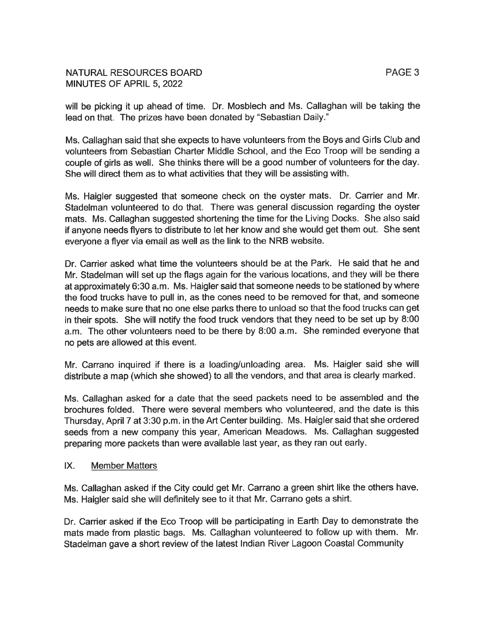### NATURAL RESOURCES BOARD MINUTES OF APRIL 5, 2022

will be picking it up ahead of time. Dr. Mosblech and Ms. Callaghan will be taking the lead on that. The prizes have been donated by "Sebastian Daily."

Ms. Callaghan said that she expects to have volunteers from the Boys and Girls Club and volunteers from Sebastian Charter Middle School, and the Eco Troop will be sending a couple of girls as well. She thinks there will be a good number of volunteers for the day. She will direct them as to what activities that they will be assisting with.

Ms. Haigler suggested that someone check on the oyster mats. Dr. Carrier and Mr. Stadelman volunteered to do that. There was general discussion regarding the oyster mats. Ms. Callaghan suggested shortening the time for the Living Docks. She also said if anyone needs flyers to distribute to let her know and she would get them out. She sent everyone a flyer via email as well as the link to the NRB website.

Dr. Carrier asked what time the volunteers should be at the Park. He said that he and Mr. Stadelman will set up the flags again for the various locations, and they will be there at approximately 6:30 a.m. Ms. Haigler said that someone needs to be stationed by where the food trucks have to pull in, as the cones need to be removed for that, and someone needs to make sure that no one else parks there to unload so that the food trucks can get in their spots. She will notify the food truck vendors that they need to be set up by 8:00 a.m. The other volunteers need to be there by 8:00 a.m. She reminded everyone that no pets are allowed at this event.

Mr. Carrano inquired if there is a loading/unloading area. Ms. Haigler said she will distribute a map (which she showed) to all the vendors, and that area is clearly marked.

Ms. Callaghan asked for a date that the seed packets need to be assembled and the brochures folded. There were several members who volunteered, and the date is this Thursday, April 7 at 3:30 p.m. in the Art Center building. Ms. Haigler said that she ordered seeds from a new company this year, American Meadows. Ms. Callaghan suggested preparing more packets than were available last year, as they ran out early.

#### IX. **Member Matters**

Ms. Callaghan asked if the City could get Mr. Carrano a green shirt like the others have. Ms. Haigler said she will definitely see to it that Mr. Carrano gets a shirt.

Dr. Carrier asked if the Eco Troop will be participating in Earth Day to demonstrate the mats made from plastic bags. Ms. Callaghan volunteered to follow up with them. Mr. Stadelman gave a short review of the latest Indian River Lagoon Coastal Community